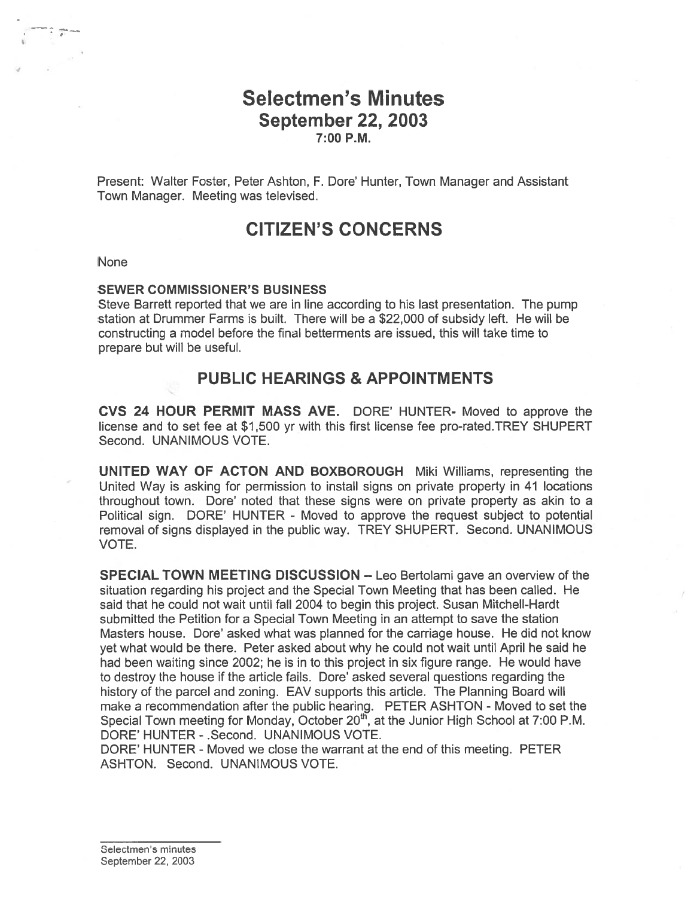# Selectmen's Minutes September 22, 2003 7:00 P.M.

Present: Walter Foster, Peter Ashton, F. Dore' Hunter, Town Manager and Assistant Town Manager. Meeting was televised.

# CITIZEN'S CONCERNS

#### None

#### SEWER COMMISSIONER'S BUSINESS

Steve Barrett reported that we are in line according to his last presentation. The pump station at Drummer Farms is built. There will be <sup>a</sup> \$22,000 of subsidy left. He will be constructing <sup>a</sup> model before the final betterments are issued, this will take time to prepare but will be useful.

## PUBLIC HEARINGS & APPOINTMENTS

CVS 24 HOUR PERMIT MASS AVE. DORE' HUNTER- Moved to approve the license and to set fee at \$1,500 yr with this first license fee pro-rated.TREY SHUPERT Second. UNANIMOUS VOTE.

UNITED WAY OF ACTON AND BOXBOROUGH Miki Williams, representing the United Way is asking for permission to install signs on private property in 41 locations throughout town. Dore' noted that these signs were on private property as akin to <sup>a</sup> Political sign. DORE' HUNTER - Moved to approve the reques<sup>t</sup> subject to potential removal of signs displayed in the public way. TREY SHUPERT. Second. UNANIMOUS VOTE.

SPECIAL TOWN MEETING DISCUSSION — Leo Bertolami gave an overview of the situation regarding his project and the Special Town Meeting that has been called. He said that he could not wait until fall 2004 to begin this project. Susan Mitchell-Hardt submitted the Petition for <sup>a</sup> Special Town Meeting in an attempt to save the station Masters house. Dore' asked what was planned for the carriage house. He did not know ye<sup>t</sup> what would be there. Peter asked about why he could not wait until April he said he had been waiting since 2002; he is in to this project in six figure range. He would have to destroy the house if the article fails. Dore' asked several questions regarding the history of the parcel and zoning. EAV supports this article. The Planning Board will make <sup>a</sup> recommendation after the public hearing. PETER ASHTON - Moved to set the Special Town meeting for Monday, October  $20^{th}$ , at the Junior High School at 7:00 P.M. DORE' HUNTER - .Second. UNANIMOUS VOTE.

DORE' HUNTER - Moved we close the warrant at the end of this meeting. PETER ASHTON. Second. UNANIMOUS VOTE.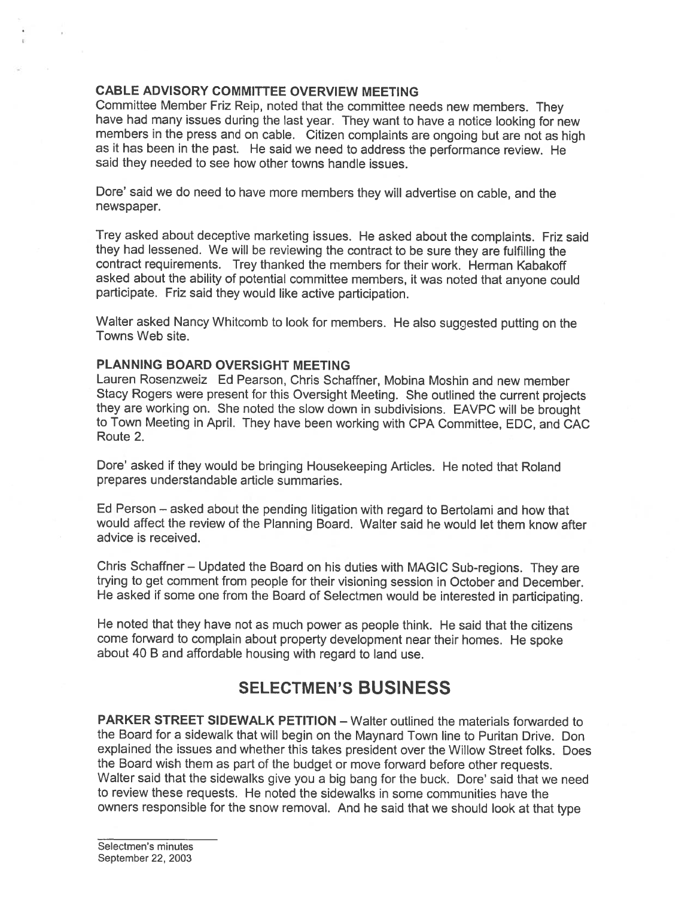## CABLE ADVISORY COMMITTEE OVERVIEW MEETING

Committee Member Friz Reip, noted that the committee needs new members. They have had many issues during the last year. They want to have <sup>a</sup> notice looking for new members in the press and on cable. Citizen complaints are ongoing but are not as high as it has been in the past. He said we need to address the performance review. He said they needed to see how other towns handle issues.

Dore' said we do need to have more members they will advertise on cable, and the newspaper.

Trey asked about deceptive marketing issues. He asked about the complaints. Friz said they had lessened. We will be reviewing the contract to be sure they are fulfilling the contract requirements. Trey thanked the members for their work. Herman Kabakoff asked about the ability of potential committee members, it was noted that anyone could participate. Friz said they would like active participation.

Walter asked Nancy Whitcomb to look for members. He also suggested putting on the Towns Web site.

## PLANNING BOARD OVERSIGHT MEETING

Lauren Rosenzweiz Ed Pearson, Chris Schaffner, Mobina Moshin and new member Stacy Rogers were presen<sup>t</sup> for this Oversight Meeting. She outlined the current projects they are working on. She noted the slow down in subdivisions. EAVPC will be brought to Town Meeting in April. They have been working with CPA Committee, EDC, and CAC Route 2.

Dore' asked if they would be bringing Housekeeping Articles. He noted that Roland prepares understandable article summaries.

Ed Person — asked about the pending litigation with regar<sup>d</sup> to Bertolami and how that would affect the review of the Planning Board. Walter said he would let them know after advice is received.

Chris Schaffner — Updated the Board on his duties with MAGIC Sub-regions. They are trying to ge<sup>t</sup> comment from people for their visioning session in October and December. He asked if some one from the Board of Selectmen would be interested in participating.

He noted that they have not as much power as people think. He said that the citizens come forward to complain about property development near their homes. He spoke about <sup>40</sup> <sup>B</sup> and affordable housing with regard to land use.

# SELECTMEN'S BUSINESS

PARKER STREET SIDEWALK PETITION — Walter outlined the materials forwarded to the Board for <sup>a</sup> sidewalk that will begin on the Maynard Town line to Puritan Drive. Don explained the issues and whether this takes president over the Willow Street folks. Does the Board wish them as par<sup>t</sup> of the budget or move forward before other requests. Walter said that the sidewalks <sup>g</sup>ive you <sup>a</sup> big bang for the buck. Dore' said that we need to review these requests. He noted the sidewalks in some communities have the owners responsible for the snow removal. And he said that we should look at that type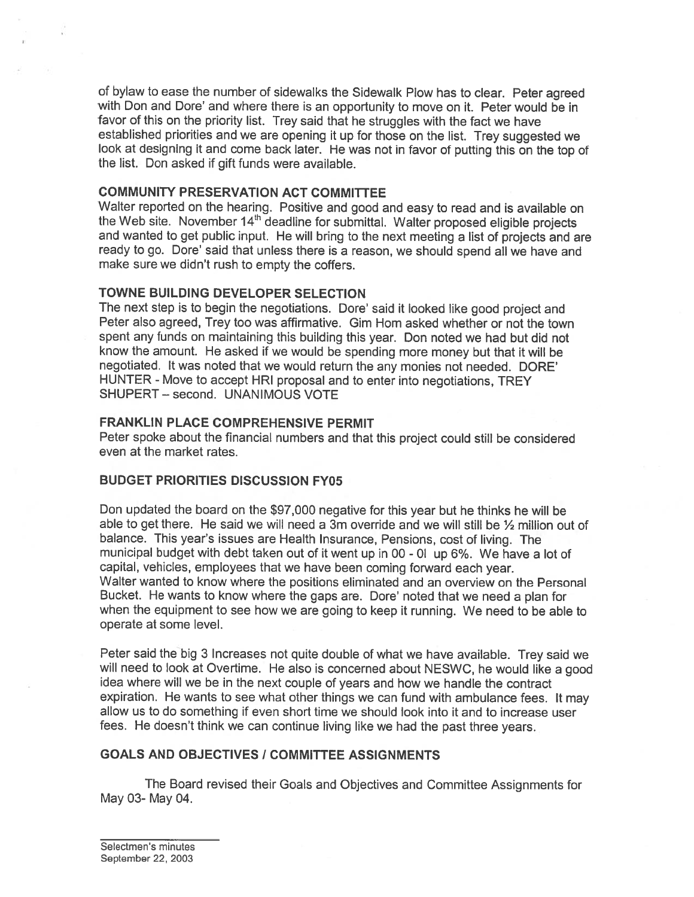of bylaw to ease the number of sidewalks the Sidewalk Plow has to clear. Peter agree<sup>d</sup> with Don and Dore' and where there is an opportunity to move on it. Peter would be in favor of this on the priority list. Trey said that he struggles with the fact we have established priorities and we are opening it up for those on the list. Trey suggested we look at designing it and come back later. He was not in favor of putting this on the top of the list. Don asked if gift funds were available.

## COMMUNITY PRESERVATION ACT COMMITTEE

Walter reported on the hearing. Positive and goo<sup>d</sup> and easy to read and is available on the Web site. November 14th deadline for submittal. Walter propose<sup>d</sup> eligible projects and wanted to ge<sup>t</sup> public input. He will bring to the next meeting <sup>a</sup> list of projects and ate ready to go. Dore' said that unless there is <sup>a</sup> reason, we should spen<sup>d</sup> all we have and make sure we didn't rush to empty the coffers.

## TOWNE BUILDING DEVELOPER SELECTION

The next step is to begin the negotiations. Dore' said it looked like goo<sup>d</sup> project and Peter also agreed, Trey too was affirmative. Gim Hom asked whether or not the town spen<sup>t</sup> any funds on maintaining this building this year. Don noted we had but did not know the amount. He asked if we would be spending more money but that it will be negotiated. It was noted that we would return the any monies not needed. DORE' HUNTER - Move to accep<sup>t</sup> HRI proposal and to enter into negotiations, TREY SHUPERT — second. UNANIMOUS VOTE

## FRANKLIN PLACE COMPREHENSIVE PERMIT

Peter spoke about the financial numbers and that this project could still be considered even at the market rates.

#### BUDGET PRIORITIES DISCUSSION FY05

Don updated the board on the \$97,000 negative for this year but he thinks he will be able to get there. He said we will need a 3m override and we will still be  $\frac{1}{2}$  million out of balance. This year's issues are Health Insurance, Pensions, cost of living. The municipal budget with debt taken out of it went up in <sup>00</sup> - Dl up 6%. We have <sup>a</sup> lot of capital, vehicles, employees that we have been coming forward each year. Walter wanted to know where the positions eliminated and an overview on the Personal Bucket. He wants to know where the gaps are. Dore' noted that we need <sup>a</sup> <sup>p</sup>lan for when the equipment to see how we are going to keep it running. We need to be able to operate at some level.

Peter said the big 3 Increases not quite double of what we have available. Trey said we will need to look at Overtime. He also is concerned about NESWC, he would like <sup>a</sup> goo<sup>d</sup> idea where will we be in the next couple of years and how we handle the contract expiration. He wants to see what other things we can fund with ambulance fees. It may allow us to do something if even short time we should look into it and to increase user fees. He doesn't think we can continue living like we had the pas<sup>t</sup> three years.

## GOALS AND OBJECTIVES / COMMITTEE ASSIGNMENTS

The Board revised their Goals and Objectives and Committee Assignments for May 03- May 04.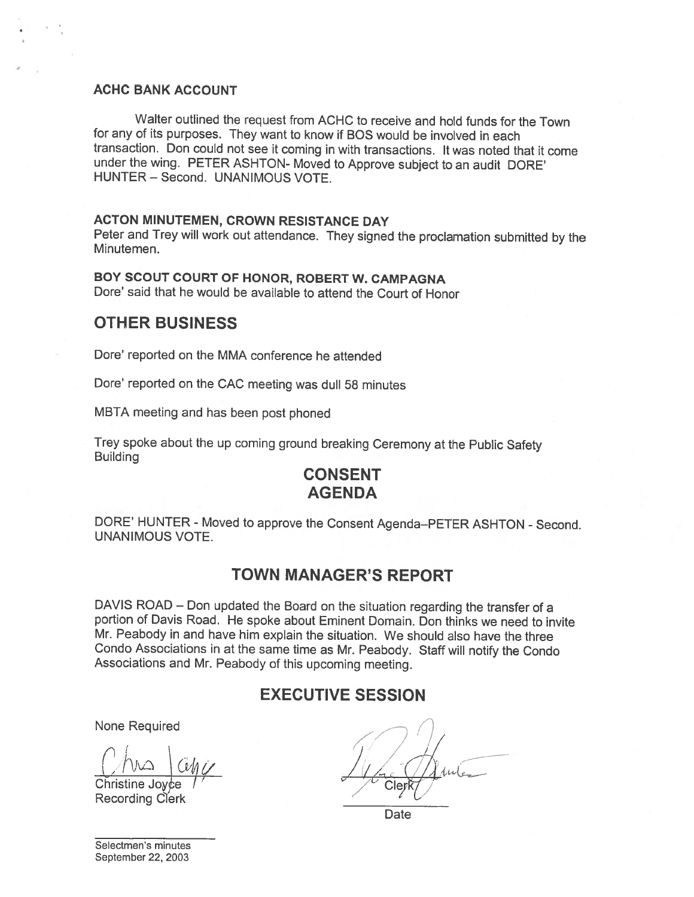## ACHC BANK ACCOUNT

Walter outlined the request from ACHC to receive and hold funds for the Town for any of its purposes. They want to know if BOS would be involved in each transaction. Don could not see it coming in with transactions. It was noted that it come under the wing. PETER ASHTON- Moved to Approve subject to an audit DORE' HUNTER — Second. UNANIMOUS VOTE.

#### ACTON MINUTEMEN, CROWN RESISTANCE DAY

Peter and Trey will work out attendance. They signed the proclamation submitted by the Minutemen.

## BOY SCOUT COURT OF HONOR, ROBERT W. CAMPAGNA

Dore' said that he would be available to attend the Court of Honor

## OTHER BUSINESS

Dore' reported on the MMA conference he attended

Dore' reported on the CAC meeting was dull 58 minutes

MBTA meeting and has been post <sup>p</sup>honed

Trey spoke about the up coming ground breaking Ceremony at the Public Safety Building

# CONSENT AGENDA

DORE' HUNTER - Moved to approve the Consent Agenda—PETER ASHTON - Second. UNANIMOUS VOTE.

## TOWN MANAGER'S REPORT

DAVIS ROAD — Don updated the Board on the situation regarding the transfer of <sup>a</sup> portion of Davis Road. He spoke about Eminent Domain. Don thinks we need to invite Mr. Peabody in and have him explain the situation. We should also have the three Condo Associations in at the same time as Mr. Peabody. Staff will notify the Condo Associations and Mr. Peabody of this upcoming meeting.

# EXECUTIVE SESSION

Christine Joyce Recording Clerk

None Required  $\begin{array}{c} \begin{array}{cc} \begin{array}{cc} \end{array} \end{array} & \begin{array}{cc} \end{array} & \begin{array}{cc} \end{array} & \begin{array}{cc} \end{array} & \begin{array}{cc} \end{array} & \begin{array}{cc} \end{array} & \begin{array}{cc} \end{array} & \begin{array}{cc} \end{array} & \begin{array}{cc} \end{array} & \begin{array}{cc} \end{array} & \begin{array}{cc} \end{array} & \begin{array}{cc} \end{array} & \begin{array}{cc} \end{array} & \begin{array}{cc} \end{array} & \begin{array}{$  $1/4$  c Clerk7 /

**Date** 

Selectmen's minutes September 22, 2003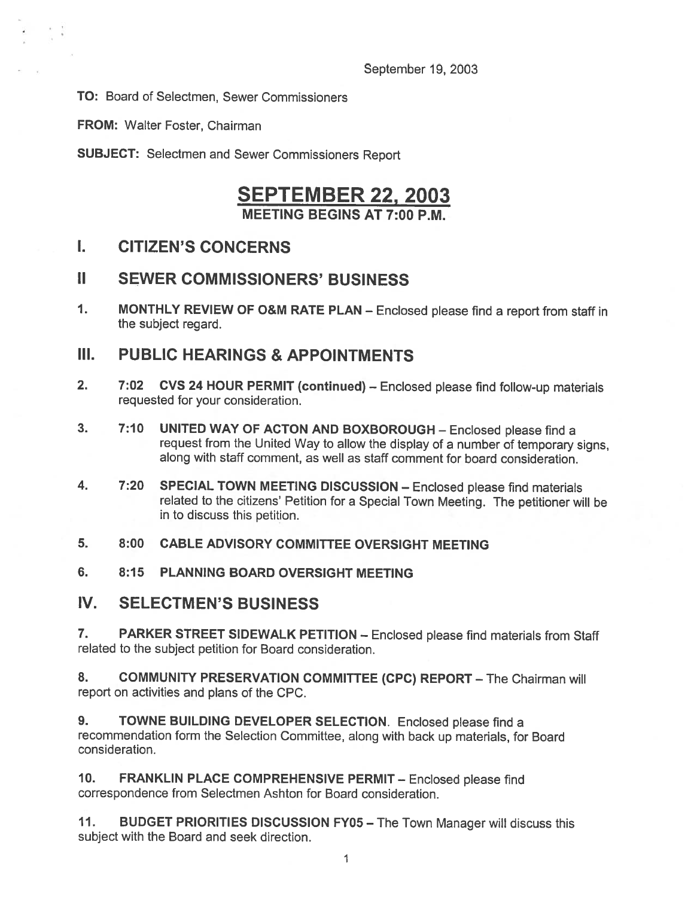TO: Board of Selectmen, Sewer Commissioners

FROM: Walter Foster, Chairman

SUBJECT: Selectmen and Sewer Commissioners Report

# SEPTEMBER 22, 2003

MEETING BEGINS AT 7:00 P.M.

# I. CITIZEN'S CONCERNS

# II SEWER COMMISSIONERS' BUSINESS

1. MONTHLY REVIEW OF O&M RATE PLAN — Enclosed <sup>p</sup>lease find <sup>a</sup> report from staff in the subject regard.

# III. PUBLIC HEARINGS & APPOINTMENTS

- 2. 7:02 CVS <sup>24</sup> HOUR PERMIT (continued) Enclosed <sup>p</sup>lease find follow-up materials requested for your consideration.
- 3. 7:10 UNITED WAY OF ACTON AND BOXEOROUGH Enclosed <sup>p</sup>lease find <sup>a</sup> request from the United Way to allow the display of <sup>a</sup> number of temporary signs, along with staff comment, as well as staff comment for board consideration.
- 4. 7:20 SPECIAL TOWN MEETING DiSCUSSION Enclosed <sup>p</sup>lease find materials related to the citizens' Petition for <sup>a</sup> Special Town Meeting. The petitioner will be in to discuss this petition.
- 5. 8:00 CABLE ADVISORY COMMITTEE OVERSIGHT MEETING
- 6. 8:15 PLANNING BOARD OVERSIGHT MEETING
- IV. SELECTMEN'S BUSINESS

7. PARKER STREET SIDEWALK PETITION - Enclosed please find materials from Staff related to the subject petition for Board consideration.

8. COMMUNITY PRESERVATION COMMITTEE (CPC) REPORT - The Chairman will report on activities and plans of the CPC.

9. TOWNE BUILDING DEVELOPER SELECTION. Enclosed please find a recommendation form the Selection Committee, along with back up materials, for Board consideration.

10. FRANKLIN PLACE COMPREHENSIVE PERMIT— Enclosed <sup>p</sup>lease find correspondence from Selectmen Ashton for Board consideration.

11. BUDGET PRIORITIES DISCUSSION FY05 - The Town Manager will discuss this subject with the Board and seek direction.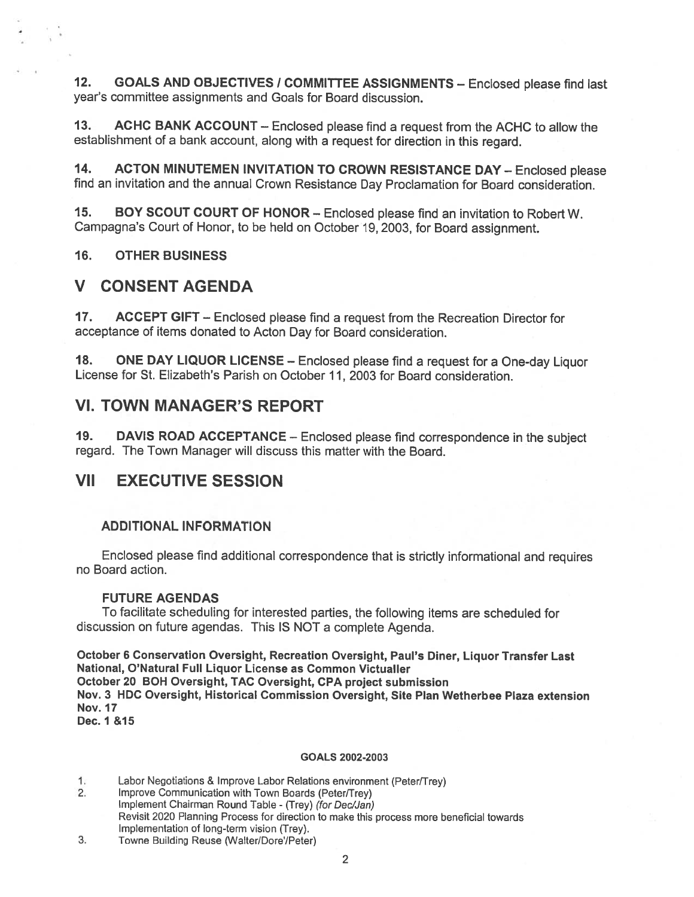12. GOALS AND OBJECTIVES / COMMITTEE ASSIGNMENTS - Enclosed please find last year's committee assignments and Goals for Board discussion.

13. ACHC BANK ACCOUNT — Enclosed <sup>p</sup>lease find <sup>a</sup> reques<sup>t</sup> from the ACHC to allow the establishment of <sup>a</sup> bank account, along with <sup>a</sup> reques<sup>t</sup> for direction in this regard.

14. ACTON MINUTEMEN INVITATION TO CROWN RESISTANCE DAY - Enclosed please find an invitation and the annual Crown Resistance Day Proclamation for Board consideration.

15. BOY SCOUT COURT OF HONOR — Enclosed <sup>p</sup>lease find an invitation to Robert W. Campagna's Court of Honor, to be held on October 19,2003, for Board assignment.

16. OTHER BUSINESS

## V CONSENT AGENDA

17. ACCEPT GIFT – Enclosed please find a request from the Recreation Director for acceptance of items donated to Acton Day for Board consideration.

18. ONE DAY LIQUOR LICENSE – Enclosed please find a request for a One-day Liquor License for St. Elizabeth's Parish on October 11, 2003 for Board consideration.

## VI. TOWN MANAGER'S REPORT

19. DAVIS ROAD ACCEPTANCE — Enclosed <sup>p</sup>lease find correspondence in the subject regard. The Town Manager will discuss this matter with the Board.

## VII EXECUTIVE SESSION

#### ADDITIONAL INFORMATION

Enclosed <sup>p</sup>lease find additional correspondence that is strictly informational and requires no Board action.

## FUTURE AGENDAS

To facilitate scheduling for interested parties, the following items are scheduled for discussion on future agendas. This IS NOT <sup>a</sup> complete Agenda.

October <sup>6</sup> Conservation Oversight, Recreation Oversight, Paul's Diner, Liquor Transfer Last National, O'Natural Full Liquor License as Common Victualler October 20 BOH Oversight, TAC Oversight, CPA project submission Nov. 3 HOC Oversight, Historical Commission Oversight, Site Plan Wetherbee Plaza extension Nov. 17 Dec. 1 &15

#### GOALS 2002-2003

1. Labor Negotiations & Improve Labor Relations environment (Peter/Trey)

- 2. Improve Communication with Town Boards (Peter/Trey) Implement Chairman Round Table - (Trey) (for Dec/Jan) Revisit 2020 Planning Process for direction to make this process more beneficial towards Implementation of long-term vision (Trey).
- 3. Towne Building Reuse (Walter/Dore/Peter)